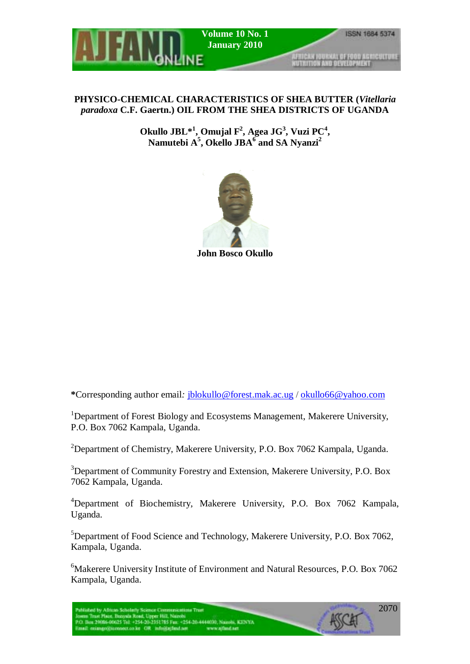

# **PHYSICO-CHEMICAL CHARACTERISTICS OF SHEA BUTTER (***Vitellaria paradoxa* **C.F. Gaertn.) OIL FROM THE SHEA DISTRICTS OF UGANDA**

Okullo  $JBL^{*1}$ , Omujal F<sup>2</sup>, Agea  $JG^3$ , Vuzi PC<sup>4</sup>, **Namutebi A5 , Okello JBA6 and SA Nyanzi<sup>2</sup>**



**John Bosco Okullo** 

**\***Corresponding author email*:* jblokullo@forest.mak.ac.ug / okullo66@yahoo.com

<sup>1</sup>Department of Forest Biology and Ecosystems Management, Makerere University, P.O. Box 7062 Kampala, Uganda.

<sup>2</sup>Department of Chemistry, Makerere University, P.O. Box 7062 Kampala, Uganda.

<sup>3</sup>Department of Community Forestry and Extension, Makerere University, P.O. Box 7062 Kampala, Uganda.

<sup>4</sup>Department of Biochemistry, Makerere University, P.O. Box 7062 Kampala, Uganda.

<sup>5</sup>Department of Food Science and Technology, Makerere University, P.O. Box 7062, Kampala, Uganda.

6 Makerere University Institute of Environment and Natural Resources, P.O. Box 7062 Kampala, Uganda.

.<br>Published by African Scholarly Science Communications Trust<br>Josen Trust Place, Buzysla Road, Upper Hill, Narobi<br>P.O. Box 29086-00025 Tel. +254-20-2351715 Fax: +254-20-4444030, Narobi, KENYA mail: mingo@iconnect.co.ke OR info@ipfind.net www.ajfind.net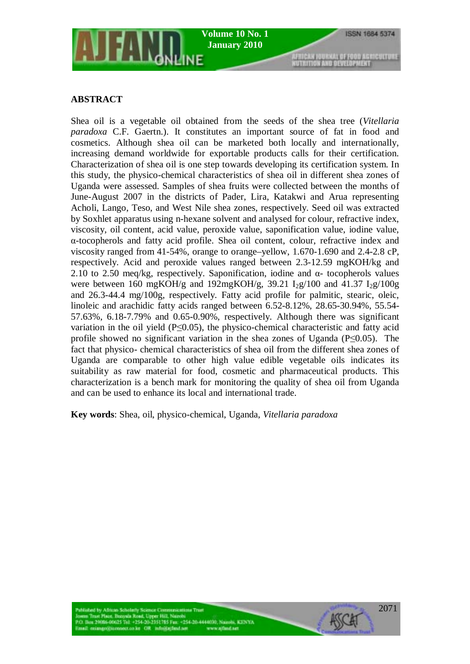

### **ABSTRACT**

Shea oil is a vegetable oil obtained from the seeds of the shea tree (*Vitellaria paradoxa* C.F. Gaertn.). It constitutes an important source of fat in food and cosmetics. Although shea oil can be marketed both locally and internationally, increasing demand worldwide for exportable products calls for their certification. Characterization of shea oil is one step towards developing its certification system. In this study, the physico-chemical characteristics of shea oil in different shea zones of Uganda were assessed. Samples of shea fruits were collected between the months of June-August 2007 in the districts of Pader, Lira, Katakwi and Arua representing Acholi, Lango, Teso, and West Nile shea zones, respectively. Seed oil was extracted by Soxhlet apparatus using n-hexane solvent and analysed for colour, refractive index, viscosity, oil content, acid value, peroxide value, saponification value, iodine value, α-tocopherols and fatty acid profile. Shea oil content, colour, refractive index and viscosity ranged from 41-54%, orange to orange–yellow, 1.670-1.690 and 2.4-2.8 cP, respectively. Acid and peroxide values ranged between 2.3-12.59 mgKOH/kg and 2.10 to 2.50 meq/kg, respectively. Saponification, iodine and  $\alpha$ - tocopherols values were between 160 mgKOH/g and 192mgKOH/g, 39.21  $I_2g/100$  and 41.37  $I_2g/100g$ and 26.3-44.4 mg/100g, respectively. Fatty acid profile for palmitic, stearic, oleic, linoleic and arachidic fatty acids ranged between 6.52-8.12%, 28.65-30.94%, 55.54- 57.63%, 6.18-7.79% and 0.65-0.90%, respectively. Although there was significant variation in the oil yield  $(P \le 0.05)$ , the physico-chemical characteristic and fatty acid profile showed no significant variation in the shea zones of Uganda (P≤0.05). The fact that physico- chemical characteristics of shea oil from the different shea zones of Uganda are comparable to other high value edible vegetable oils indicates its suitability as raw material for food, cosmetic and pharmaceutical products. This characterization is a bench mark for monitoring the quality of shea oil from Uganda and can be used to enhance its local and international trade.

**Key words**: Shea, oil, physico-chemical, Uganda, *Vitellaria paradoxa*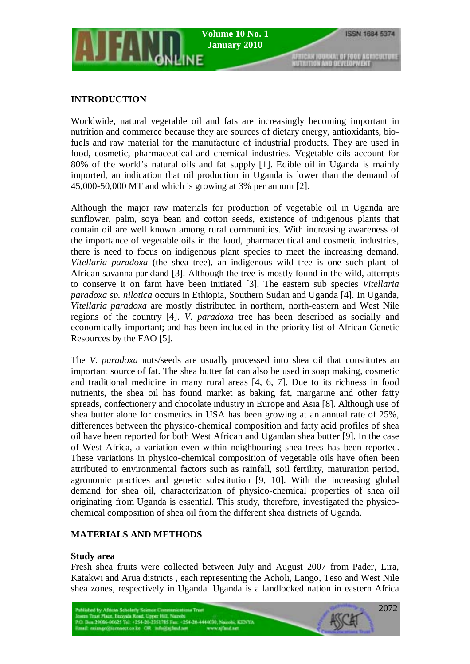### **INTRODUCTION**

Worldwide, natural vegetable oil and fats are increasingly becoming important in nutrition and commerce because they are sources of dietary energy, antioxidants, biofuels and raw material for the manufacture of industrial products. They are used in food, cosmetic, pharmaceutical and chemical industries. Vegetable oils account for 80% of the world's natural oils and fat supply [1]. Edible oil in Uganda is mainly imported, an indication that oil production in Uganda is lower than the demand of 45,000-50,000 MT and which is growing at 3% per annum [2].

Although the major raw materials for production of vegetable oil in Uganda are sunflower, palm, soya bean and cotton seeds, existence of indigenous plants that contain oil are well known among rural communities. With increasing awareness of the importance of vegetable oils in the food, pharmaceutical and cosmetic industries, there is need to focus on indigenous plant species to meet the increasing demand. *Vitellaria paradoxa* (the shea tree), an indigenous wild tree is one such plant of African savanna parkland [3]. Although the tree is mostly found in the wild, attempts to conserve it on farm have been initiated [3]. The eastern sub species *Vitellaria paradoxa sp. nilotica* occurs in Ethiopia, Southern Sudan and Uganda [4]. In Uganda, *Vitellaria paradoxa* are mostly distributed in northern, north-eastern and West Nile regions of the country [4]. *V*. *paradoxa* tree has been described as socially and economically important; and has been included in the priority list of African Genetic Resources by the FAO [5].

The *V*. *paradoxa* nuts/seeds are usually processed into shea oil that constitutes an important source of fat. The shea butter fat can also be used in soap making, cosmetic and traditional medicine in many rural areas [4, 6, 7]. Due to its richness in food nutrients, the shea oil has found market as baking fat, margarine and other fatty spreads, confectionery and chocolate industry in Europe and Asia [8]. Although use of shea butter alone for cosmetics in USA has been growing at an annual rate of 25%, differences between the physico-chemical composition and fatty acid profiles of shea oil have been reported for both West African and Ugandan shea butter [9]. In the case of West Africa, a variation even within neighbouring shea trees has been reported. These variations in physico-chemical composition of vegetable oils have often been attributed to environmental factors such as rainfall, soil fertility, maturation period, agronomic practices and genetic substitution [9, 10]. With the increasing global demand for shea oil, characterization of physico-chemical properties of shea oil originating from Uganda is essential. This study, therefore, investigated the physicochemical composition of shea oil from the different shea districts of Uganda.

## **MATERIALS AND METHODS**

### **Study area**

Fresh shea fruits were collected between July and August 2007 from Pader, Lira, Katakwi and Arua districts , each representing the Acholi, Lango, Teso and West Nile shea zones, respectively in Uganda. Uganda is a landlocked nation in eastern Africa

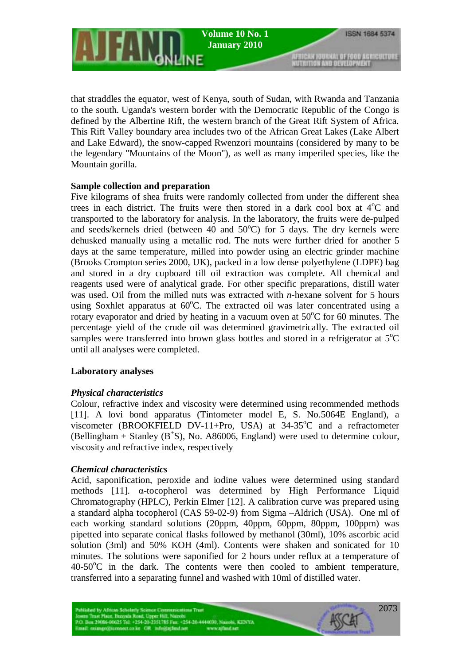**Volume 10 No. 1 January 2010** 

AFMICAN JOURNAL OF FOOD ASMICULTURE

that straddles the equator, west of Kenya, south of Sudan, with Rwanda and Tanzania to the south. Uganda's western border with the Democratic Republic of the Congo is defined by the Albertine Rift, the western branch of the Great Rift System of Africa. This Rift Valley boundary area includes two of the African Great Lakes (Lake Albert and Lake Edward), the snow-capped Rwenzori mountains (considered by many to be the legendary "Mountains of the Moon"), as well as many imperiled species, like the Mountain gorilla.

### **Sample collection and preparation**

Five kilograms of shea fruits were randomly collected from under the different shea trees in each district. The fruits were then stored in a dark cool box at  $4^{\circ}$ C and transported to the laboratory for analysis. In the laboratory, the fruits were de-pulped and seeds/kernels dried (between 40 and 50°C) for 5 days. The dry kernels were dehusked manually using a metallic rod. The nuts were further dried for another 5 days at the same temperature, milled into powder using an electric grinder machine (Brooks Crompton series 2000, UK), packed in a low dense polyethylene (LDPE) bag and stored in a dry cupboard till oil extraction was complete. All chemical and reagents used were of analytical grade. For other specific preparations, distill water was used. Oil from the milled nuts was extracted with *n*-hexane solvent for 5 hours using Soxhlet apparatus at 60°C. The extracted oil was later concentrated using a rotary evaporator and dried by heating in a vacuum oven at  $50^{\circ}$ C for 60 minutes. The percentage yield of the crude oil was determined gravimetrically. The extracted oil samples were transferred into brown glass bottles and stored in a refrigerator at  $5^{\circ}C$ until all analyses were completed.

## **Laboratory analyses**

## *Physical characteristics*

Colour, refractive index and viscosity were determined using recommended methods [11]. A lovi bond apparatus (Tintometer model E, S. No.5064E England), a viscometer (BROOKFIELD DV-11+Pro, USA) at 34-35°C and a refractometer  $(Bellingham + Stanley (B<sup>+</sup>S), No. A86006, England)$  were used to determine colour, viscosity and refractive index, respectively

## *Chemical characteristics*

Acid, saponification, peroxide and iodine values were determined using standard methods [11]. α-tocopherol was determined by High Performance Liquid Chromatography (HPLC), Perkin Elmer [12]. A calibration curve was prepared using a standard alpha tocopherol (CAS 59-02-9) from Sigma –Aldrich (USA). One ml of each working standard solutions (20ppm, 40ppm, 60ppm, 80ppm, 100ppm) was pipetted into separate conical flasks followed by methanol (30ml), 10% ascorbic acid solution (3ml) and 50% KOH (4ml). Contents were shaken and sonicated for 10 minutes. The solutions were saponified for 2 hours under reflux at a temperature of 40-50°C in the dark. The contents were then cooled to ambient temperature, transferred into a separating funnel and washed with 10ml of distilled water.

n Trust Place, Berryala Road, Upper Hill, Narrobi<br>Bon 29086-00025 Tel. +254-20-2351715 Fax. +254-20-4444030, Narrobi, KENYA mail: miango@iconnect.co.ke OR info@ajfind.net www.ajfind.net

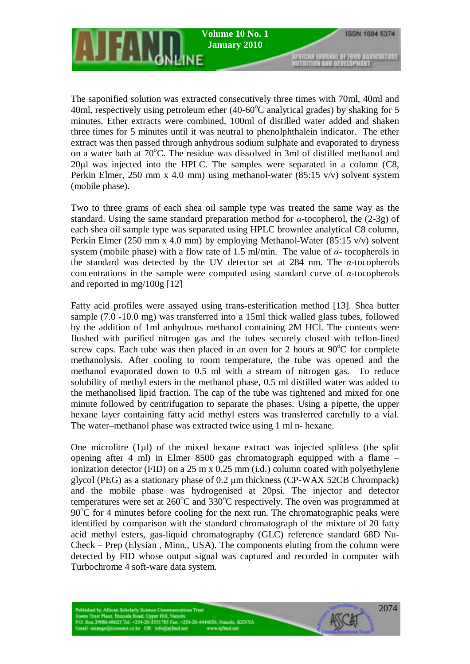AFRICAN JOURNAL OF FOOD AGRICULTURE

The saponified solution was extracted consecutively three times with 70ml, 40ml and 40ml, respectively using petroleum ether  $(40{\text -}60^{\circ}\text{C}$  analytical grades) by shaking for 5 minutes. Ether extracts were combined, 100ml of distilled water added and shaken three times for 5 minutes until it was neutral to phenolphthalein indicator. The ether extract was then passed through anhydrous sodium sulphate and evaporated to dryness on a water bath at 70°C. The residue was dissolved in 3ml of distilled methanol and 20µl was injected into the HPLC. The samples were separated in a column (C8, Perkin Elmer, 250 mm x 4.0 mm) using methanol-water (85:15 v/v) solvent system (mobile phase).

Two to three grams of each shea oil sample type was treated the same way as the standard. Using the same standard preparation method for *α*-tocopherol, the (2-3g) of each shea oil sample type was separated using HPLC brownlee analytical C8 column, Perkin Elmer (250 mm x 4.0 mm) by employing Methanol-Water (85:15 v/v) solvent system (mobile phase) with a flow rate of 1.5 ml/min. The value of *α-* tocopherols in the standard was detected by the UV detector set at 284 nm. The *α-*tocopherols concentrations in the sample were computed using standard curve of *α-*tocopherols and reported in mg/100g [12]

Fatty acid profiles were assayed using trans-esterification method [13]. Shea butter sample (7.0 -10.0 mg) was transferred into a 15ml thick walled glass tubes, followed by the addition of 1ml anhydrous methanol containing 2M HCl. The contents were flushed with purified nitrogen gas and the tubes securely closed with teflon-lined screw caps. Each tube was then placed in an oven for 2 hours at  $90^{\circ}$ C for complete methanolysis. After cooling to room temperature, the tube was opened and the methanol evaporated down to 0.5 ml with a stream of nitrogen gas. To reduce solubility of methyl esters in the methanol phase, 0.5 ml distilled water was added to the methanolised lipid fraction. The cap of the tube was tightened and mixed for one minute followed by centrifugation to separate the phases. Using a pipette, the upper hexane layer containing fatty acid methyl esters was transferred carefully to a vial. The water–methanol phase was extracted twice using 1 ml n- hexane.

One microlitre (1µl) of the mixed hexane extract was injected splitless (the split opening after 4 ml) in Elmer 8500 gas chromatograph equipped with a flame – ionization detector (FID) on a 25 m x 0.25 mm (i.d.) column coated with polyethylene glycol (PEG) as a stationary phase of 0.2 µm thickness (CP-WAX 52CB Chrompack) and the mobile phase was hydrogenised at 20psi. The injector and detector temperatures were set at  $260^{\circ}$ C and  $330^{\circ}$ C respectively. The oven was programmed at  $90^{\circ}$ C for 4 minutes before cooling for the next run. The chromatographic peaks were identified by comparison with the standard chromatograph of the mixture of 20 fatty acid methyl esters, gas-liquid chromatography (GLC) reference standard 68D Nu-Check – Prep (Elysian , Minn., USA). The components eluting from the column were detected by FID whose output signal was captured and recorded in computer with Turbochrome 4 soft-ware data system.

n Trust Place, Berryala Road, Upper Hill, Narrobi<br>Bon 29086-00025 Tel. +254-20-2351715 Fax. +254-20-4444030, Narrobi, KENYA mail: missgo@iconnect.co.ke OR infe@ajfind.net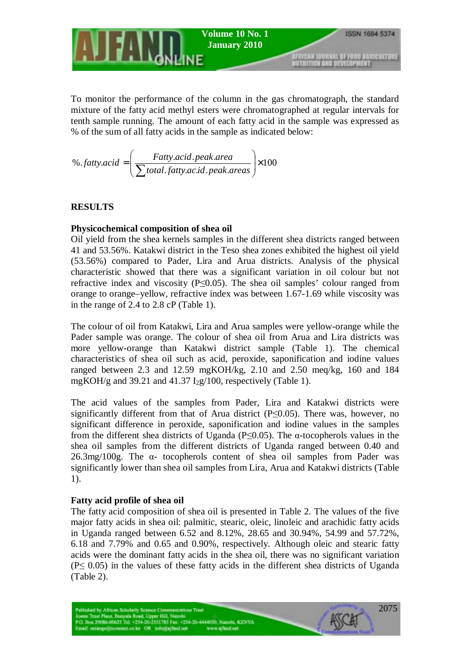

To monitor the performance of the column in the gas chromatograph, the standard mixture of the fatty acid methyl esters were chromatographed at regular intervals for tenth sample running. The amount of each fatty acid in the sample was expressed as % of the sum of all fatty acids in the sample as indicated below:

$$
\% .fatty. acid = \left( \frac{Fatty.acid. peak. area}{\sum total.fatty. acid. peak. areas} \right) \times 100
$$

# **RESULTS**

### **Physicochemical composition of shea oil**

Oil yield from the shea kernels samples in the different shea districts ranged between 41 and 53.56%. Katakwi district in the Teso shea zones exhibited the highest oil yield (53.56%) compared to Pader, Lira and Arua districts. Analysis of the physical characteristic showed that there was a significant variation in oil colour but not refractive index and viscosity ( $P \leq 0.05$ ). The shea oil samples' colour ranged from orange to orange–yellow, refractive index was between 1.67-1.69 while viscosity was in the range of 2.4 to 2.8 cP (Table 1).

The colour of oil from Katakwi, Lira and Arua samples were yellow-orange while the Pader sample was orange. The colour of shea oil from Arua and Lira districts was more yellow-orange than Katakwi district sample (Table 1). The chemical characteristics of shea oil such as acid, peroxide, saponification and iodine values ranged between 2.3 and 12.59 mgKOH/kg, 2.10 and 2.50 meq/kg, 160 and 184 mgKOH/g and 39.21 and 41.37  $I_2g/100$ , respectively (Table 1).

The acid values of the samples from Pader, Lira and Katakwi districts were significantly different from that of Arua district ( $P \le 0.05$ ). There was, however, no significant difference in peroxide, saponification and iodine values in the samples from the different shea districts of Uganda ( $P \le 0.05$ ). The α-tocopherols values in the shea oil samples from the different districts of Uganda ranged between 0.40 and 26.3mg/100g. The α- tocopherols content of shea oil samples from Pader was significantly lower than shea oil samples from Lira, Arua and Katakwi districts (Table 1).

### **Fatty acid profile of shea oil**

The fatty acid composition of shea oil is presented in Table 2. The values of the five major fatty acids in shea oil: palmitic, stearic, oleic, linoleic and arachidic fatty acids in Uganda ranged between 6.52 and 8.12%, 28.65 and 30.94%, 54.99 and 57.72%, 6.18 and 7.79% and 0.65 and 0.90%, respectively. Although oleic and stearic fatty acids were the dominant fatty acids in the shea oil, there was no significant variation (P≤ 0.05) in the values of these fatty acids in the different shea districts of Uganda (Table 2).

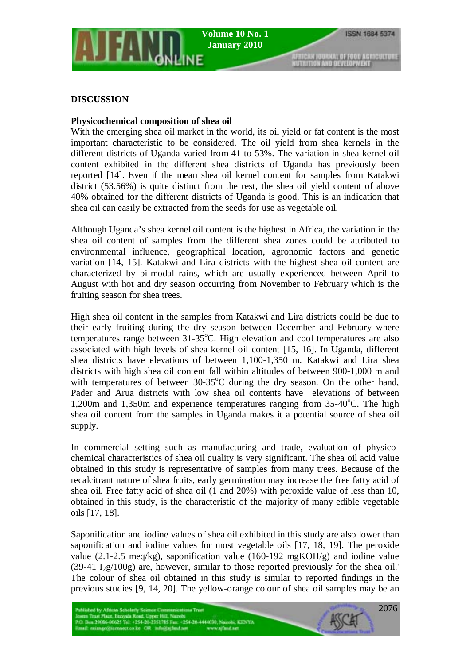### **DISCUSSION**

### **Physicochemical composition of shea oil**

With the emerging shea oil market in the world, its oil yield or fat content is the most important characteristic to be considered. The oil yield from shea kernels in the different districts of Uganda varied from 41 to 53%. The variation in shea kernel oil content exhibited in the different shea districts of Uganda has previously been reported [14]. Even if the mean shea oil kernel content for samples from Katakwi district (53.56%) is quite distinct from the rest, the shea oil yield content of above 40% obtained for the different districts of Uganda is good. This is an indication that shea oil can easily be extracted from the seeds for use as vegetable oil.

Although Uganda's shea kernel oil content is the highest in Africa, the variation in the shea oil content of samples from the different shea zones could be attributed to environmental influence, geographical location, agronomic factors and genetic variation [14, 15]. Katakwi and Lira districts with the highest shea oil content are characterized by bi-modal rains, which are usually experienced between April to August with hot and dry season occurring from November to February which is the fruiting season for shea trees.

High shea oil content in the samples from Katakwi and Lira districts could be due to their early fruiting during the dry season between December and February where temperatures range between 31-35°C. High elevation and cool temperatures are also associated with high levels of shea kernel oil content [15, 16]. In Uganda, different shea districts have elevations of between 1,100-1,350 m. Katakwi and Lira shea districts with high shea oil content fall within altitudes of between 900-1,000 m and with temperatures of between  $30-35^{\circ}$ C during the dry season. On the other hand, Pader and Arua districts with low shea oil contents have elevations of between 1,200m and 1,350m and experience temperatures ranging from 35-40°C. The high shea oil content from the samples in Uganda makes it a potential source of shea oil supply.

In commercial setting such as manufacturing and trade, evaluation of physicochemical characteristics of shea oil quality is very significant. The shea oil acid value obtained in this study is representative of samples from many trees. Because of the recalcitrant nature of shea fruits, early germination may increase the free fatty acid of shea oil. Free fatty acid of shea oil (1 and 20%) with peroxide value of less than 10, obtained in this study, is the characteristic of the majority of many edible vegetable oils [17, 18].

Saponification and iodine values of shea oil exhibited in this study are also lower than saponification and iodine values for most vegetable oils [17, 18, 19]. The peroxide value (2.1-2.5 meq/kg), saponification value (160-192 mgKOH/g) and iodine value (39-41  $I_2g/100g$ ) are, however, similar to those reported previously for the shea oil. The colour of shea oil obtained in this study is similar to reported findings in the previous studies [9, 14, 20]. The yellow-orange colour of shea oil samples may be an

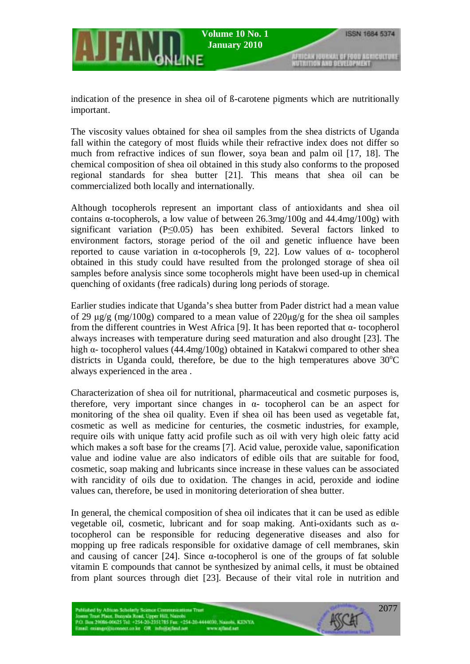indication of the presence in shea oil of ß-carotene pigments which are nutritionally important.

The viscosity values obtained for shea oil samples from the shea districts of Uganda fall within the category of most fluids while their refractive index does not differ so much from refractive indices of sun flower, soya bean and palm oil [17, 18]. The chemical composition of shea oil obtained in this study also conforms to the proposed regional standards for shea butter [21]. This means that shea oil can be commercialized both locally and internationally.

Although tocopherols represent an important class of antioxidants and shea oil contains  $\alpha$ -tocopherols, a low value of between 26.3mg/100g and 44.4mg/100g) with significant variation ( $P \le 0.05$ ) has been exhibited. Several factors linked to environment factors, storage period of the oil and genetic influence have been reported to cause variation in α-tocopherols [9, 22]. Low values of α- tocopherol obtained in this study could have resulted from the prolonged storage of shea oil samples before analysis since some tocopherols might have been used-up in chemical quenching of oxidants (free radicals) during long periods of storage.

Earlier studies indicate that Uganda's shea butter from Pader district had a mean value of 29  $\mu$ g/g (mg/100g) compared to a mean value of 220 $\mu$ g/g for the shea oil samples from the different countries in West Africa [9]. It has been reported that α- tocopherol always increases with temperature during seed maturation and also drought [23]. The high  $\alpha$ - tocopherol values (44.4mg/100g) obtained in Katakwi compared to other shea districts in Uganda could, therefore, be due to the high temperatures above  $30^{\circ}$ C always experienced in the area .

Characterization of shea oil for nutritional, pharmaceutical and cosmetic purposes is, therefore, very important since changes in  $\alpha$ - tocopherol can be an aspect for monitoring of the shea oil quality. Even if shea oil has been used as vegetable fat, cosmetic as well as medicine for centuries, the cosmetic industries, for example, require oils with unique fatty acid profile such as oil with very high oleic fatty acid which makes a soft base for the creams [7]. Acid value, peroxide value, saponification value and iodine value are also indicators of edible oils that are suitable for food, cosmetic, soap making and lubricants since increase in these values can be associated with rancidity of oils due to oxidation. The changes in acid, peroxide and iodine values can, therefore, be used in monitoring deterioration of shea butter.

In general, the chemical composition of shea oil indicates that it can be used as edible vegetable oil, cosmetic, lubricant and for soap making. Anti-oxidants such as αtocopherol can be responsible for reducing degenerative diseases and also for mopping up free radicals responsible for oxidative damage of cell membranes, skin and causing of cancer [24]. Since  $\alpha$ -tocopherol is one of the groups of fat soluble vitamin E compounds that cannot be synthesized by animal cells, it must be obtained from plant sources through diet [23]. Because of their vital role in nutrition and

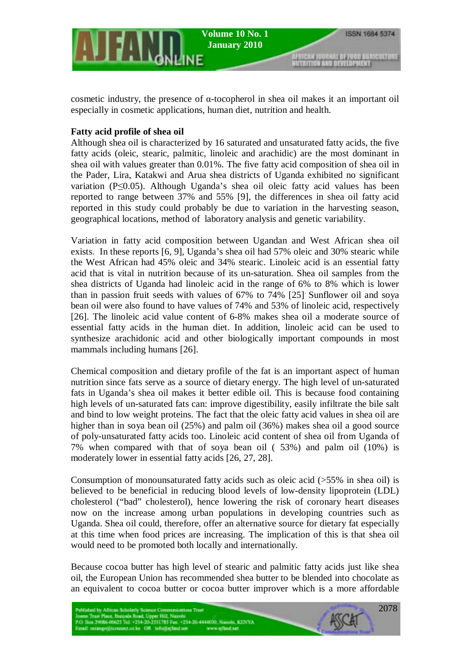

cosmetic industry, the presence of α-tocopherol in shea oil makes it an important oil especially in cosmetic applications, human diet, nutrition and health.

### **Fatty acid profile of shea oil**

Although shea oil is characterized by 16 saturated and unsaturated fatty acids, the five fatty acids (oleic, stearic, palmitic, linoleic and arachidic) are the most dominant in shea oil with values greater than 0.01%. The five fatty acid composition of shea oil in the Pader, Lira, Katakwi and Arua shea districts of Uganda exhibited no significant variation (P≤0.05). Although Uganda's shea oil oleic fatty acid values has been reported to range between 37% and 55% [9], the differences in shea oil fatty acid reported in this study could probably be due to variation in the harvesting season, geographical locations, method of laboratory analysis and genetic variability.

Variation in fatty acid composition between Ugandan and West African shea oil exists. In these reports [6, 9], Uganda's shea oil had 57% oleic and 30% stearic while the West African had 45% oleic and 34% stearic. Linoleic acid is an essential fatty acid that is vital in nutrition because of its un-saturation. Shea oil samples from the shea districts of Uganda had linoleic acid in the range of 6% to 8% which is lower than in passion fruit seeds with values of 67% to 74% [25]. Sunflower oil and soya bean oil were also found to have values of 74% and 53% of linoleic acid, respectively [26]. The linoleic acid value content of 6-8% makes shea oil a moderate source of essential fatty acids in the human diet. In addition, linoleic acid can be used to synthesize arachidonic acid and other biologically important compounds in most mammals including humans [26].

Chemical composition and dietary profile of the fat is an important aspect of human nutrition since fats serve as a source of dietary energy. The high level of un-saturated fats in Uganda's shea oil makes it better edible oil. This is because food containing high levels of un-saturated fats can: improve digestibility, easily infiltrate the bile salt and bind to low weight proteins. The fact that the oleic fatty acid values in shea oil are higher than in soya bean oil (25%) and palm oil (36%) makes shea oil a good source of poly-unsaturated fatty acids too. Linoleic acid content of shea oil from Uganda of 7% when compared with that of soya bean oil ( 53%) and palm oil (10%) is moderately lower in essential fatty acids [26, 27, 28].

Consumption of monounsaturated fatty acids such as oleic acid  $($ >55% in shea oil) is believed to be beneficial in reducing blood levels of low-density lipoprotein (LDL) cholesterol ("bad" cholesterol), hence lowering the risk of coronary heart diseases now on the increase among urban populations in developing countries such as Uganda. Shea oil could, therefore, offer an alternative source for dietary fat especially at this time when food prices are increasing. The implication of this is that shea oil would need to be promoted both locally and internationally.

Because cocoa butter has high level of stearic and palmitic fatty acids just like shea oil, the European Union has recommended shea butter to be blended into chocolate as an equivalent to cocoa butter or cocoa butter improver which is a more affordable

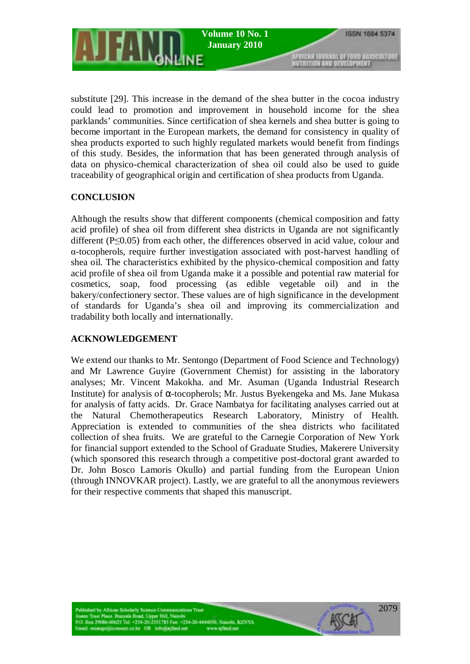

substitute [29]. This increase in the demand of the shea butter in the cocoa industry could lead to promotion and improvement in household income for the shea parklands' communities. Since certification of shea kernels and shea butter is going to become important in the European markets, the demand for consistency in quality of shea products exported to such highly regulated markets would benefit from findings of this study. Besides, the information that has been generated through analysis of data on physico-chemical characterization of shea oil could also be used to guide traceability of geographical origin and certification of shea products from Uganda.

## **CONCLUSION**

Although the results show that different components (chemical composition and fatty acid profile) of shea oil from different shea districts in Uganda are not significantly different (P≤0.05) from each other, the differences observed in acid value, colour and α-tocopherols, require further investigation associated with post-harvest handling of shea oil. The characteristics exhibited by the physico-chemical composition and fatty acid profile of shea oil from Uganda make it a possible and potential raw material for cosmetics, soap, food processing (as edible vegetable oil) and in the bakery/confectionery sector. These values are of high significance in the development of standards for Uganda's shea oil and improving its commercialization and tradability both locally and internationally.

## **ACKNOWLEDGEMENT**

We extend our thanks to Mr. Sentongo (Department of Food Science and Technology) and Mr Lawrence Guyire (Government Chemist) for assisting in the laboratory analyses; Mr. Vincent Makokha. and Mr. Asuman (Uganda Industrial Research Institute) for analysis of  $\alpha$ -tocopherols; Mr. Justus Byekengeka and Ms. Jane Mukasa for analysis of fatty acids. Dr. Grace Nambatya for facilitating analyses carried out at the Natural Chemotherapeutics Research Laboratory, Ministry of Health. Appreciation is extended to communities of the shea districts who facilitated collection of shea fruits. We are grateful to the Carnegie Corporation of New York for financial support extended to the School of Graduate Studies, Makerere University (which sponsored this research through a competitive post-doctoral grant awarded to Dr. John Bosco Lamoris Okullo) and partial funding from the European Union (through INNOVKAR project). Lastly, we are grateful to all the anonymous reviewers for their respective comments that shaped this manuscript.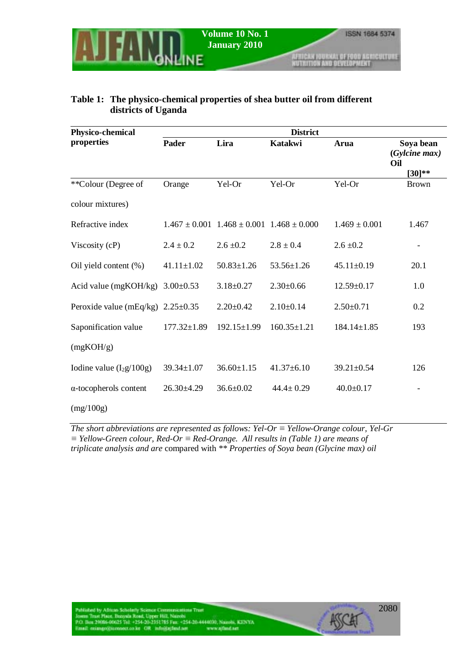AFRICAN JOURNAL OF FOOD AGRICULTURE<br>NUTRITION AND DEVELOPMENT

## **Table 1: The physico-chemical properties of shea butter oil from different districts of Uganda**

| Physico-chemical              | <b>District</b>   |                                                       |                   |                   |                            |  |
|-------------------------------|-------------------|-------------------------------------------------------|-------------------|-------------------|----------------------------|--|
| properties                    | Pader             | Lira                                                  | <b>Katakwi</b>    | Arua              | Soya bean<br>(Gylcine max) |  |
|                               |                   |                                                       |                   |                   | Oil                        |  |
| **Colour (Degree of           | Orange            | Yel-Or                                                | Yel-Or            | Yel-Or            | $[30]**$<br><b>Brown</b>   |  |
| colour mixtures)              |                   |                                                       |                   |                   |                            |  |
| Refractive index              |                   | $1.467 \pm 0.001$ $1.468 \pm 0.001$ $1.468 \pm 0.000$ |                   | $1.469 \pm 0.001$ | 1.467                      |  |
| Viscosity (cP)                | $2.4 \pm 0.2$     | $2.6 \pm 0.2$                                         | $2.8 \pm 0.4$     | $2.6 \pm 0.2$     |                            |  |
| Oil yield content (%)         | $41.11 \pm 1.02$  | $50.83 \pm 1.26$                                      | $53.56 \pm 1.26$  | $45.11 \pm 0.19$  | 20.1                       |  |
| Acid value (mgKOH/kg)         | $3.00 \pm 0.53$   | $3.18 \pm 0.27$                                       | $2.30\pm0.66$     | $12.59 \pm 0.17$  | 1.0                        |  |
| Peroxide value $(mEq/kg)$     | $2.25 \pm 0.35$   | $2.20 \pm 0.42$                                       | $2.10\pm0.14$     | $2.50 \pm 0.71$   | 0.2                        |  |
| Saponification value          | $177.32 \pm 1.89$ | 192.15±1.99                                           | $160.35 \pm 1.21$ | $184.14 \pm 1.85$ | 193                        |  |
| (mgKOH/g)                     |                   |                                                       |                   |                   |                            |  |
| Iodine value $(I_2g/100g)$    | $39.34 \pm 1.07$  | $36.60 \pm 1.15$                                      | $41.37\pm 6.10$   | $39.21 \pm 0.54$  | 126                        |  |
| $\alpha$ -tocopherols content | $26.30 \pm 4.29$  | $36.6 \pm 0.02$                                       | $44.4 \pm 0.29$   | $40.0 \pm 0.17$   |                            |  |
| (mg/100g)                     |                   |                                                       |                   |                   |                            |  |

*The short abbreviations are represented as follows: Yel-Or ≡ Yellow-Orange colour, Yel-Gr ≡ Yellow-Green colour, Red-Or ≡ Red-Orange. All results in (Table 1) are means of triplicate analysis and are* compared with *\*\* Properties of Soya bean (Glycine max) oil*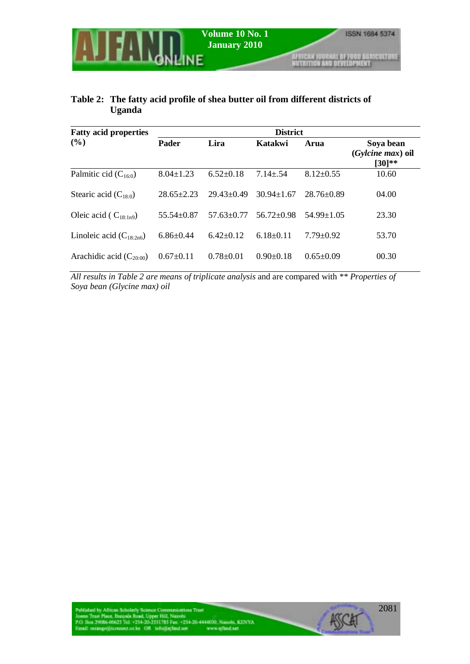# **Table 2: The fatty acid profile of shea butter oil from different districts of Uganda**

| <b>Fatty acid properties</b> | <b>District</b>  |                  |                  |                 |                                             |  |
|------------------------------|------------------|------------------|------------------|-----------------|---------------------------------------------|--|
| (%)                          | <b>Pader</b>     | Lira             | Katakwi          | Arua            | Soya bean<br>(Gylcine max) oil<br>$[30]$ ** |  |
| Palmitic cid $(C_{16:0})$    | $8.04 \pm 1.23$  | $6.52 \pm 0.18$  | $7.14 \pm .54$   | $8.12 \pm 0.55$ | 10.60                                       |  |
| Stearic acid $(C_{18:0})$    | $28.65 \pm 2.23$ | $29.43 \pm 0.49$ | $30.94 + 1.67$   | $28.76\pm0.89$  | 04.00                                       |  |
| Oleic acid ( $C_{18:1n9}$ )  | $55.54 + 0.87$   | $57.63 + 0.77$   | $56.72 \pm 0.98$ | $54.99 + 1.05$  | 23.30                                       |  |
| Linoleic acid $(C_{18:2n6})$ | $6.86 \pm 0.44$  | $6.42 + 0.12$    | $6.18 \pm 0.11$  | $7.79 \pm 0.92$ | 53.70                                       |  |
| Arachidic acid $(C_{20:00})$ | $0.67 \pm 0.11$  | $0.78 \pm 0.01$  | $0.90 \pm 0.18$  | $0.65 \pm 0.09$ | 00.30                                       |  |

*All results in Table 2 are means of triplicate analysis* and are compared with *\*\* Properties of Soya bean (Glycine max) oil*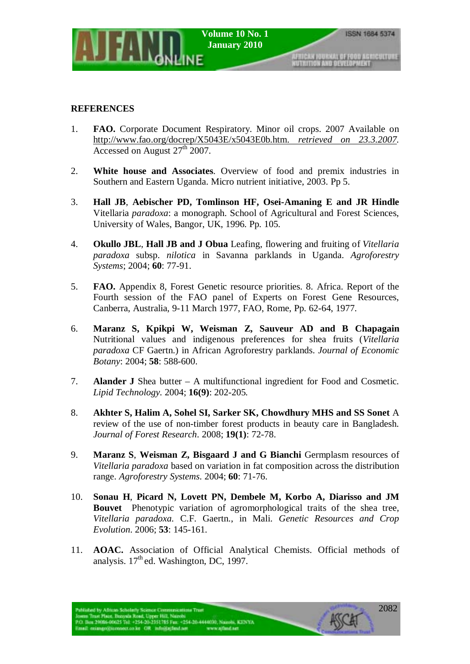### **REFERENCES**

- 1. **FAO.** Corporate Document Respiratory. Minor oil crops. 2007 Available on http://www.fao.org/docrep/X5043E/x5043E0b.htm. *retrieved on 23.3.2007.*  Accessed on August  $27<sup>th</sup>$  2007.
- 2. **White house and Associates**. Overview of food and premix industries in Southern and Eastern Uganda. Micro nutrient initiative, 2003. Pp 5.
- 3. **Hall JB**, **Aebischer PD, Tomlinson HF, Osei-Amaning E and JR Hindle**  Vitellaria *paradoxa*: a monograph. School of Agricultural and Forest Sciences, University of Wales, Bangor, UK, 1996. Pp. 105.
- 4. **Okullo JBL**, **Hall JB and J Obua** Leafing, flowering and fruiting of *Vitellaria paradoxa* subsp. *nilotica* in Savanna parklands in Uganda. *Agroforestry Systems*; 2004; **60**: 77-91.
- 5. **FAO.** Appendix 8, Forest Genetic resource priorities. 8. Africa. Report of the Fourth session of the FAO panel of Experts on Forest Gene Resources, Canberra, Australia, 9-11 March 1977, FAO, Rome, Pp. 62-64, 1977.
- 6. **Maranz S, Kpikpi W, Weisman Z, Sauveur AD and B Chapagain** Nutritional values and indigenous preferences for shea fruits (*Vitellaria paradoxa* CF Gaertn.) in African Agroforestry parklands. *Journal of Economic Botany*: 2004; **58**: 588-600.
- 7. **Alander J** Shea butter A multifunctional ingredient for Food and Cosmetic. *Lipid Technology.* 2004; **16(9)**: 202-205*.*
- 8. **Akhter S, Halim A, Sohel SI, Sarker SK, Chowdhury MHS and SS Sonet** A review of the use of non-timber forest products in beauty care in Bangladesh. *Journal of Forest Research*. 2008; **19(1)**: 72-78.
- 9. **Maranz S**, **Weisman Z, Bisgaard J and G Bianchi** Germplasm resources of *Vitellaria paradoxa* based on variation in fat composition across the distribution range. *Agroforestry Systems*. 2004; **60**: 71-76.
- 10. **Sonau H**, **Picard N, Lovett PN, Dembele M, Korbo A, Diarisso and JM Bouvet** Phenotypic variation of agromorphological traits of the shea tree*, Vitellaria paradoxa.* C.F. Gaertn., in Mali. *Genetic Resources and Crop Evolution*. 2006; **53**: 145-161.
- 11. **AOAC.** Association of Official Analytical Chemists. Official methods of analysis.  $17<sup>th</sup>$ ed. Washington, DC, 1997.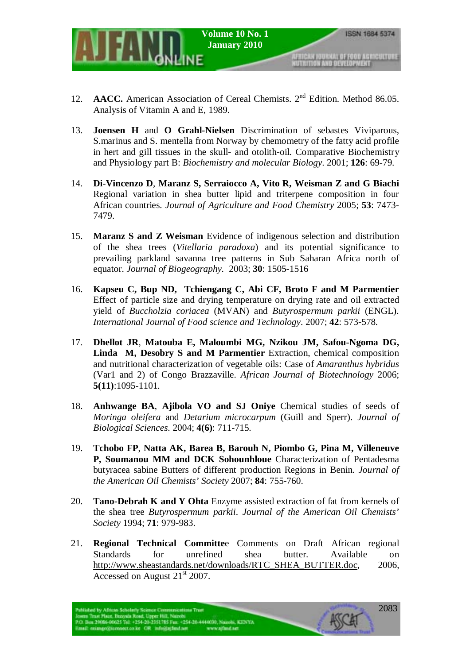- 12. **AACC.** American Association of Cereal Chemists. 2<sup>nd</sup> Edition. Method 86.05. Analysis of Vitamin A and E, 1989.
- 13. **Joensen H** and **O Grahl-Nielsen** Discrimination of sebastes Viviparous, S.marinus and S. mentella from Norway by chemometry of the fatty acid profile in hert and gill tissues in the skull- and otolith-oil. Comparative Biochemistry and Physiology part B: *Biochemistry and molecular Biology*. 2001; **126**: 69-79.
- 14. **Di-Vincenzo D**, **Maranz S, Serraiocco A, Vito R, Weisman Z and G Biachi**  Regional variation in shea butter lipid and triterpene composition in four African countries. *Journal of Agriculture and Food Chemistry* 2005; **53**: 7473- 7479.
- 15. **Maranz S and Z Weisman** Evidence of indigenous selection and distribution of the shea trees (*Vitellaria paradoxa*) and its potential significance to prevailing parkland savanna tree patterns in Sub Saharan Africa north of equator. *Journal of Biogeography.* 2003; **30**: 1505-1516
- 16. **Kapseu C, Bup ND, Tchiengang C, Abi CF, Broto F and M Parmentier** Effect of particle size and drying temperature on drying rate and oil extracted yield of *Buccholzia coriacea* (MVAN) and *Butyrospermum parkii* (ENGL). *International Journal of Food science and Technology*. 2007; **42**: 573-578.
- 17. **Dhellot JR**, **Matouba E, Maloumbi MG, Nzikou JM, Safou-Ngoma DG, Linda M, Desobry S and M Parmentier** Extraction, chemical composition and nutritional characterization of vegetable oils: Case of *Amaranthus hybridus* (Var1 and 2) of Congo Brazzaville. *African Journal of Biotechnology* 2006; **5(11)**:1095-1101.
- 18. **Anhwange BA**, **Ajibola VO and SJ Oniye** Chemical studies of seeds of *Moringa oleifera* and *Detarium microcarpum* (Guill and Sperr). *Journal of Biological Sciences*. 2004; **4(6)**: 711-715.
- 19. **Tchobo FP**, **Natta AK, Barea B, Barouh N, Piombo G, Pina M, Villeneuve P, Soumanou MM and DCK Sohounhloue** Characterization of Pentadesma butyracea sabine Butters of different production Regions in Benin. *Journal of the American Oil Chemists' Society* 2007; **84**: 755-760.
- 20. **Tano-Debrah K and Y Ohta** Enzyme assisted extraction of fat from kernels of the shea tree *Butyrospermum parkii*. *Journal of the American Oil Chemists' Society* 1994; **71**: 979-983.
- 21. **Regional Technical Committe**e Comments on Draft African regional Standards for unrefined shea butter. Available on http://www.sheastandards.net/downloads/RTC\_SHEA\_BUTTER.doc, 2006, Accessed on August  $21<sup>st</sup> 2007$ .